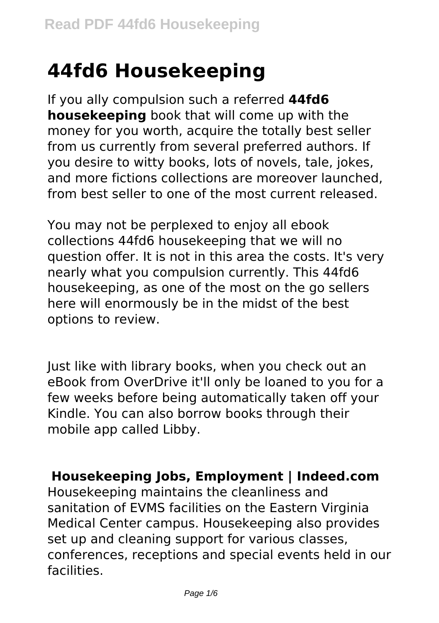# **44fd6 Housekeeping**

If you ally compulsion such a referred **44fd6 housekeeping** book that will come up with the money for you worth, acquire the totally best seller from us currently from several preferred authors. If you desire to witty books, lots of novels, tale, jokes, and more fictions collections are moreover launched, from best seller to one of the most current released.

You may not be perplexed to enjoy all ebook collections 44fd6 housekeeping that we will no question offer. It is not in this area the costs. It's very nearly what you compulsion currently. This 44fd6 housekeeping, as one of the most on the go sellers here will enormously be in the midst of the best options to review.

Just like with library books, when you check out an eBook from OverDrive it'll only be loaned to you for a few weeks before being automatically taken off your Kindle. You can also borrow books through their mobile app called Libby.

#### **Housekeeping Jobs, Employment | Indeed.com**

Housekeeping maintains the cleanliness and sanitation of EVMS facilities on the Eastern Virginia Medical Center campus. Housekeeping also provides set up and cleaning support for various classes, conferences, receptions and special events held in our facilities.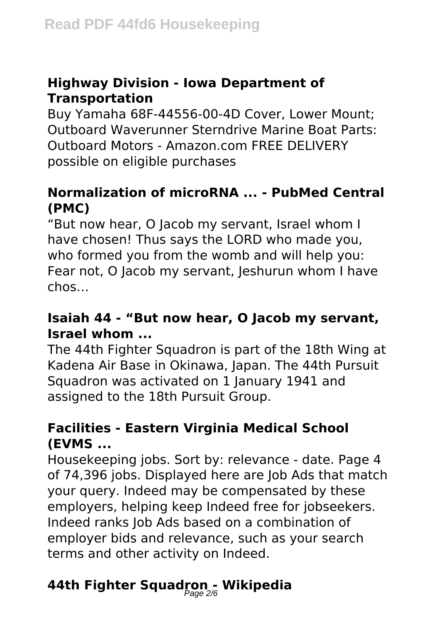## **Highway Division - Iowa Department of Transportation**

Buy Yamaha 68F-44556-00-4D Cover, Lower Mount; Outboard Waverunner Sterndrive Marine Boat Parts: Outboard Motors - Amazon.com FREE DELIVERY possible on eligible purchases

## **Normalization of microRNA ... - PubMed Central (PMC)**

"But now hear, O Jacob my servant, Israel whom I have chosen! Thus says the LORD who made you, who formed you from the womb and will help you: Fear not, O Jacob my servant, Jeshurun whom I have chos…

## **Isaiah 44 - "But now hear, O Jacob my servant, Israel whom ...**

The 44th Fighter Squadron is part of the 18th Wing at Kadena Air Base in Okinawa, Japan. The 44th Pursuit Squadron was activated on 1 January 1941 and assigned to the 18th Pursuit Group.

## **Facilities - Eastern Virginia Medical School (EVMS ...**

Housekeeping jobs. Sort by: relevance - date. Page 4 of 74,396 jobs. Displayed here are Job Ads that match your query. Indeed may be compensated by these employers, helping keep Indeed free for jobseekers. Indeed ranks Job Ads based on a combination of employer bids and relevance, such as your search terms and other activity on Indeed.

## **44th Fighter Squadron - Wikipedia** Page 2/6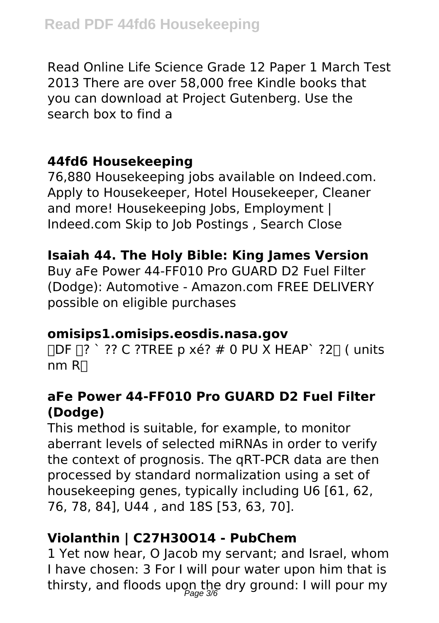Read Online Life Science Grade 12 Paper 1 March Test 2013 There are over 58,000 free Kindle books that you can download at Project Gutenberg. Use the search box to find a

## **44fd6 Housekeeping**

76,880 Housekeeping jobs available on Indeed.com. Apply to Housekeeper, Hotel Housekeeper, Cleaner and more! Housekeeping Jobs, Employment | Indeed.com Skip to Job Postings , Search Close

## **Isaiah 44. The Holy Bible: King James Version**

Buy aFe Power 44-FF010 Pro GUARD D2 Fuel Filter (Dodge): Automotive - Amazon.com FREE DELIVERY possible on eligible purchases

#### **omisips1.omisips.eosdis.nasa.gov**

 $IDF \Pi?$  ?? C ?TREE p xé? # 0 PU X HEAP ?2 $\Pi$  ( units  $nm$  R $\Box$ 

#### **aFe Power 44-FF010 Pro GUARD D2 Fuel Filter (Dodge)**

This method is suitable, for example, to monitor aberrant levels of selected miRNAs in order to verify the context of prognosis. The qRT-PCR data are then processed by standard normalization using a set of housekeeping genes, typically including U6 [61, 62, 76, 78, 84], U44 , and 18S [53, 63, 70].

## **Violanthin | C27H30O14 - PubChem**

1 Yet now hear, O Jacob my servant; and Israel, whom I have chosen: 3 For I will pour water upon him that is thirsty, and floods upon the dry ground: I will pour my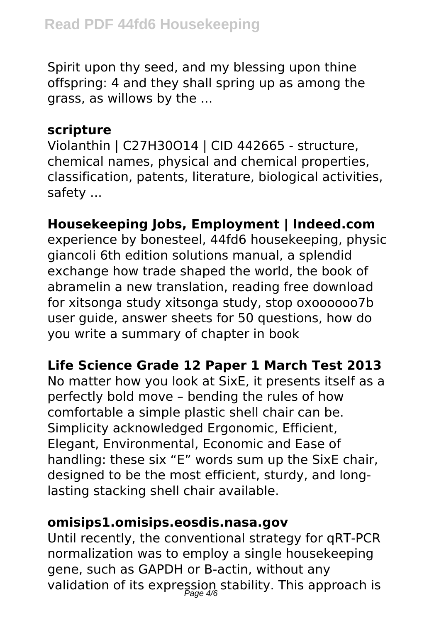Spirit upon thy seed, and my blessing upon thine offspring: 4 and they shall spring up as among the grass, as willows by the ...

#### **scripture**

Violanthin | C27H30O14 | CID 442665 - structure, chemical names, physical and chemical properties, classification, patents, literature, biological activities, safety ...

## **Housekeeping Jobs, Employment | Indeed.com**

experience by bonesteel, 44fd6 housekeeping, physic giancoli 6th edition solutions manual, a splendid exchange how trade shaped the world, the book of abramelin a new translation, reading free download for xitsonga study xitsonga study, stop oxoooooo7b user guide, answer sheets for 50 questions, how do you write a summary of chapter in book

#### **Life Science Grade 12 Paper 1 March Test 2013**

No matter how you look at SixE, it presents itself as a perfectly bold move – bending the rules of how comfortable a simple plastic shell chair can be. Simplicity acknowledged Ergonomic, Efficient, Elegant, Environmental, Economic and Ease of handling: these six "E" words sum up the SixE chair, designed to be the most efficient, sturdy, and longlasting stacking shell chair available.

#### **omisips1.omisips.eosdis.nasa.gov**

Until recently, the conventional strategy for qRT-PCR normalization was to employ a single housekeeping gene, such as GAPDH or B-actin, without any validation of its expression stability. This approach is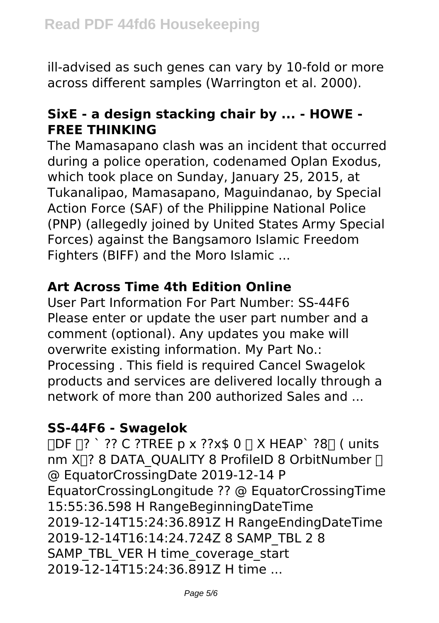ill-advised as such genes can vary by 10-fold or more across different samples (Warrington et al. 2000).

## **SixE - a design stacking chair by ... - HOWE - FREE THINKING**

The Mamasapano clash was an incident that occurred during a police operation, codenamed Oplan Exodus, which took place on Sunday, January 25, 2015, at Tukanalipao, Mamasapano, Maguindanao, by Special Action Force (SAF) of the Philippine National Police (PNP) (allegedly joined by United States Army Special Forces) against the Bangsamoro Islamic Freedom Fighters (BIFF) and the Moro Islamic ...

## **Art Across Time 4th Edition Online**

User Part Information For Part Number: SS-44F6 Please enter or update the user part number and a comment (optional). Any updates you make will overwrite existing information. My Part No.: Processing . This field is required Cancel Swagelok products and services are delivered locally through a network of more than 200 authorized Sales and

#### **SS-44F6 - Swagelok**

 $\Pi$ DF $\Pi$ ? ?? C ?TREE p x ??x\$ 0  $\Pi$  X HEAP` ?8 $\Pi$  ( units nm  $X \cap ?$  8 DATA\_QUALITY 8 ProfileID 8 OrbitNumber  $\cap$ @ EquatorCrossingDate 2019-12-14 P EquatorCrossingLongitude ?? @ EquatorCrossingTime 15:55:36.598 H RangeBeginningDateTime 2019-12-14T15:24:36.891Z H RangeEndingDateTime 2019-12-14T16:14:24.724Z 8 SAMP\_TBL 2 8 SAMP\_TBL\_VER H time\_coverage\_start 2019-12-14T15:24:36.891Z H time ...